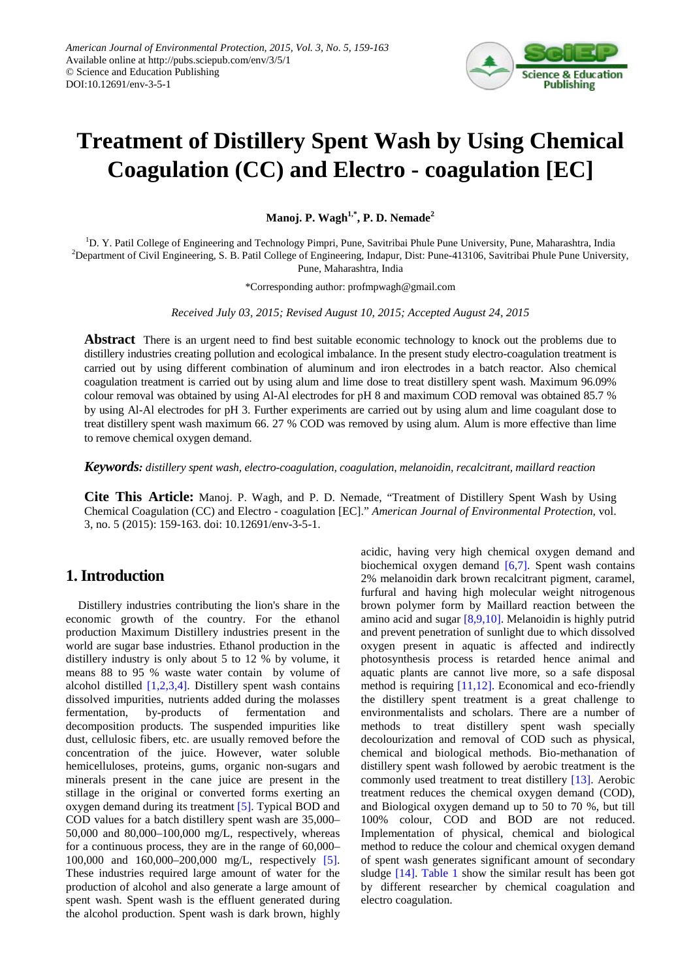

# **Treatment of Distillery Spent Wash by Using Chemical Coagulation (CC) and Electro - coagulation [EC]**

**Manoj. P. Wagh1,\*, P. D. Nemade<sup>2</sup>**

<sup>1</sup>D. Y. Patil College of Engineering and Technology Pimpri, Pune, Savitribai Phule Pune University, Pune, Maharashtra, India 2 Department of Civil Engineering, S. B. Patil College of Engineering, Indapur, Dist: Pune-413106, Savitribai Phule Pune University, Pune, Maharashtra, India

\*Corresponding author: profmpwagh@gmail.com

*Received July 03, 2015; Revised August 10, 2015; Accepted August 24, 2015*

**Abstract** There is an urgent need to find best suitable economic technology to knock out the problems due to distillery industries creating pollution and ecological imbalance. In the present study electro-coagulation treatment is carried out by using different combination of aluminum and iron electrodes in a batch reactor. Also chemical coagulation treatment is carried out by using alum and lime dose to treat distillery spent wash. Maximum 96.09% colour removal was obtained by using Al-Al electrodes for pH 8 and maximum COD removal was obtained 85.7 % by using Al-Al electrodes for pH 3. Further experiments are carried out by using alum and lime coagulant dose to treat distillery spent wash maximum 66. 27 % COD was removed by using alum. Alum is more effective than lime to remove chemical oxygen demand.

*Keywords: distillery spent wash, electro-coagulation, coagulation, melanoidin, recalcitrant, maillard reaction*

**Cite This Article:** Manoj. P. Wagh, and P. D. Nemade, "Treatment of Distillery Spent Wash by Using Chemical Coagulation (CC) and Electro - coagulation [EC]." *American Journal of Environmental Protection*, vol. 3, no. 5 (2015): 159-163. doi: 10.12691/env-3-5-1.

# **1. Introduction**

Distillery industries contributing the lion's share in the economic growth of the country. For the ethanol production Maximum Distillery industries present in the world are sugar base industries. Ethanol production in the distillery industry is only about 5 to 12 % by volume, it means 88 to 95 % waste water contain by volume of alcohol distilled [\[1,2,3,4\].](#page-4-0) Distillery spent wash contains dissolved impurities, nutrients added during the molasses fermentation, by-products of fermentation and decomposition products. The suspended impurities like dust, cellulosic fibers, etc. are usually removed before the concentration of the juice. However, water soluble hemicelluloses, proteins, gums, organic non-sugars and minerals present in the cane juice are present in the stillage in the original or converted forms exerting an oxygen demand during its treatment [\[5\].](#page-4-1) Typical BOD and COD values for a batch distillery spent wash are 35,000– 50,000 and 80,000–100,000 mg/L, respectively, whereas for a continuous process, they are in the range of 60,000– 100,000 and 160,000–200,000 mg/L, respectively [\[5\].](#page-4-1) These industries required large amount of water for the production of alcohol and also generate a large amount of spent wash. Spent wash is the effluent generated during the alcohol production. Spent wash is dark brown, highly acidic, having very high chemical oxygen demand and biochemical oxygen demand  $[6,7]$ . Spent wash contains 2% melanoidin dark brown recalcitrant pigment, caramel, furfural and having high molecular weight nitrogenous brown polymer form by Maillard reaction between the amino acid and sugar [\[8,9,10\].](#page-4-3) Melanoidin is highly putrid and prevent penetration of sunlight due to which dissolved oxygen present in aquatic is affected and indirectly photosynthesis process is retarded hence animal and aquatic plants are cannot live more, so a safe disposal method is requiring [\[11,12\].](#page-4-4) Economical and eco-friendly the distillery spent treatment is a great challenge to environmentalists and scholars. There are a number of methods to treat distillery spent wash specially decolourization and removal of COD such as physical, chemical and biological methods. Bio-methanation of distillery spent wash followed by aerobic treatment is the commonly used treatment to treat distillery [\[13\].](#page-4-5) Aerobic treatment reduces the chemical oxygen demand (COD), and Biological oxygen demand up to 50 to 70 %, but till 100% colour, COD and BOD are not reduced. Implementation of physical, chemical and biological method to reduce the colour and chemical oxygen demand of spent wash generates significant amount of secondary sludge [\[14\].](#page-4-6) [Table 1](#page-1-0) show the similar result has been got by different researcher by chemical coagulation and electro coagulation.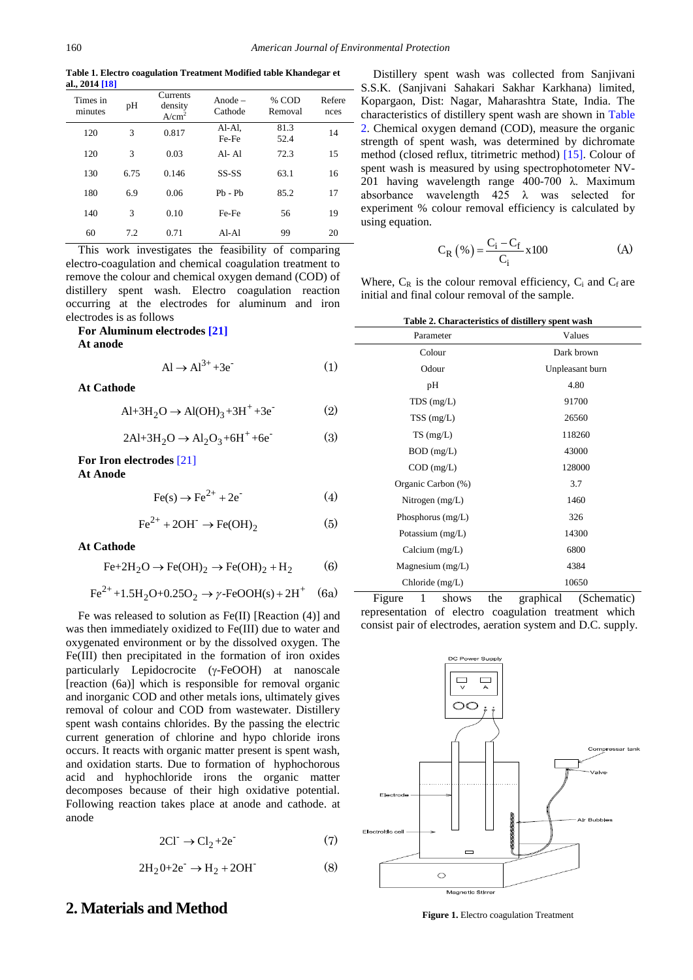**Table 1. Electro coagulation Treatment Modified table Khandegar et al., 2014 [18]**

<span id="page-1-0"></span>

| Times in<br>minutes | pH   | Currents<br>density<br>A/cm <sup>2</sup> | Anode $-$<br>Cathode | % COD<br>Removal | Refere<br>nces |
|---------------------|------|------------------------------------------|----------------------|------------------|----------------|
| 120                 | 3    | 0.817                                    | Al-Al,<br>Fe-Fe      | 81.3<br>52.4     | 14             |
| 120                 | 3    | 0.03                                     | $AI - AI$            | 72.3             | 15             |
| 130                 | 6.75 | 0.146                                    | $SS-SS$              | 63.1             | 16             |
| 180                 | 6.9  | 0.06                                     | $Pb - Pb$            | 85.2             | 17             |
| 140                 | 3    | 0.10                                     | Fe-Fe                | 56               | 19             |
| 60                  | 7.2  | 0.71                                     | $AI-AI$              | 99               | 20             |

This work investigates the feasibility of comparing electro-coagulation and chemical coagulation treatment to remove the colour and chemical oxygen demand (COD) of distillery spent wash. Electro coagulation reaction occurring at the electrodes for aluminum and iron electrodes is as follows

#### **For Aluminum electrodes [\[21\]](#page-4-7) At anode**

$$
Al \rightarrow Al^{3+} + 3e^-
$$
 (1)

**At Cathode**

 $Al+3H_2O \rightarrow Al(OH)_3 + 3H^+ +3e^-(2)$ 

 $2Al+3H_2O \rightarrow Al_2O_3 + 6H^+ +6e^-$  (3)

### **For Iron electrodes** [\[21\]](#page-4-7)

**At Anode**

$$
Fe(s) \rightarrow Fe^{2+} + 2e^{-}
$$
 (4)

$$
\text{Fe}^{2+} + 2\text{OH}^- \rightarrow \text{Fe(OH)}_2 \tag{5}
$$

#### **At Cathode**

 $Fe+2H_2O \rightarrow Fe(OH)_2 \rightarrow Fe(OH)_2 + H_2$  (6)

$$
\text{Fe}^{2+} + 1.5\text{H}_2\text{O} + 0.25\text{O}_2 \rightarrow \gamma\text{-FeOOH(s)} + 2\text{H}^+ \quad (6a)
$$

Fe was released to solution as Fe(II) [Reaction (4)] and was then immediately oxidized to Fe(III) due to water and oxygenated environment or by the dissolved oxygen. The Fe(III) then precipitated in the formation of iron oxides particularly Lepidocrocite (γ-FeOOH) at nanoscale [reaction (6a)] which is responsible for removal organic and inorganic COD and other metals ions, ultimately gives removal of colour and COD from wastewater. Distillery spent wash contains chlorides. By the passing the electric current generation of chlorine and hypo chloride irons occurs. It reacts with organic matter present is spent wash, and oxidation starts. Due to formation of hyphochorous acid and hyphochloride irons the organic matter decomposes because of their high oxidative potential. Following reaction takes place at anode and cathode. at anode

$$
2\text{Cl}^- \to \text{Cl}_2 + 2\text{e}^- \tag{7}
$$

$$
2H_2O + 2e^- \rightarrow H_2 + 2OH \tag{8}
$$

### **2. Materials and Method**

Distillery spent wash was collected from Sanjivani S.S.K. (Sanjivani Sahakari Sakhar Karkhana) limited, Kopargaon, Dist: Nagar, Maharashtra State, India. The characteristics of distillery spent wash are shown in [Table](#page-1-1)  [2.](#page-1-1) Chemical oxygen demand (COD), measure the organic strength of spent wash, was determined by dichromate method (closed reflux, titrimetric method) [\[15\].](#page-4-8) Colour of spent wash is measured by using spectrophotometer NV-201 having wavelength range 400-700 λ. Maximum absorbance wavelength 425 λ was selected for experiment % colour removal efficiency is calculated by using equation.

$$
C_{R} (\% ) = \frac{C_{i} - C_{f}}{C_{i}} \times 100
$$
 (A)

Where,  $C_R$  is the colour removal efficiency,  $C_i$  and  $C_f$  are initial and final colour removal of the sample.

|  |  | Table 2. Characteristics of distillery spent wash |  |
|--|--|---------------------------------------------------|--|
|  |  |                                                   |  |

<span id="page-1-1"></span>

| Parameter          | Values          |  |  |
|--------------------|-----------------|--|--|
| Colour             | Dark brown      |  |  |
| Odour              | Unpleasant burn |  |  |
| pH                 | 4.80            |  |  |
| $TDS$ (mg/L)       | 91700           |  |  |
| $TSS$ (mg/L)       | 26560           |  |  |
| $TS \, (mg/L)$     | 118260          |  |  |
| $BOD$ (mg/L)       | 43000           |  |  |
| $COD$ (mg/L)       | 128000          |  |  |
| Organic Carbon (%) | 3.7             |  |  |
| Nitrogen $(mg/L)$  | 1460            |  |  |
| Phosphorus (mg/L)  | 326             |  |  |
| Potassium $(mg/L)$ | 14300           |  |  |
| Calcium $(mg/L)$   | 6800            |  |  |
| Magnesium (mg/L)   | 4384            |  |  |
| Chloride (mg/L)    | 10650           |  |  |

Figure 1 shows the graphical (Schematic) representation of electro coagulation treatment which consist pair of electrodes, aeration system and D.C. supply.



**Figure 1.** Electro coagulation Treatment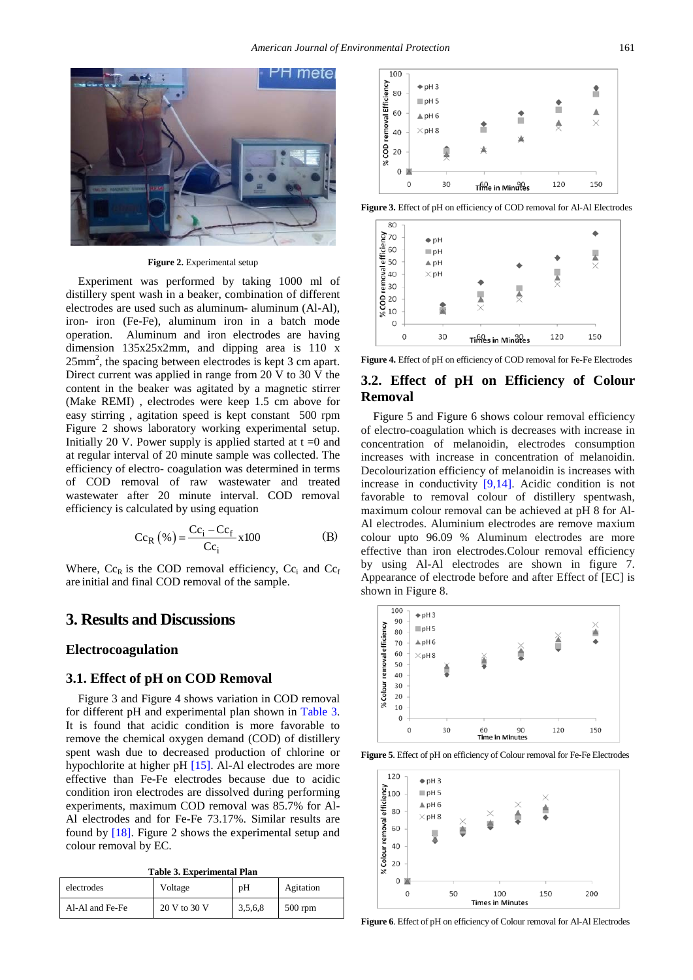

#### **Figure 2.** Experimental setup

Experiment was performed by taking 1000 ml of distillery spent wash in a beaker, combination of different electrodes are used such as aluminum- aluminum (Al-Al), iron- iron (Fe-Fe), aluminum iron in a batch mode operation. Aluminum and iron electrodes are having dimension 135x25x2mm, and dipping area is 110 x  $25mm^2$ , the spacing between electrodes is kept 3 cm apart. Direct current was applied in range from 20 V to 30 V the content in the beaker was agitated by a magnetic stirrer (Make REMI) , electrodes were keep 1.5 cm above for easy stirring , agitation speed is kept constant 500 rpm Figure 2 shows laboratory working experimental setup. Initially 20 V. Power supply is applied started at  $t = 0$  and at regular interval of 20 minute sample was collected. The efficiency of electro- coagulation was determined in terms of COD removal of raw wastewater and treated wastewater after 20 minute interval. COD removal efficiency is calculated by using equation

$$
Cc_R (\% ) = \frac{Cc_i - Cc_f}{Cc_i} \times 100
$$
 (B)

Where,  $Cc_R$  is the COD removal efficiency,  $Cc_i$  and  $Cc_f$ are initial and final COD removal of the sample.

# **3. Results and Discussions**

#### **Electrocoagulation**

### **3.1. Effect of pH on COD Removal**

Figure 3 and Figure 4 shows variation in COD removal for different pH and experimental plan shown in [Table 3.](#page-2-0) It is found that acidic condition is more favorable to remove the chemical oxygen demand (COD) of distillery spent wash due to decreased production of chlorine or hypochlorite at higher pH [\[15\].](#page-4-8) Al-Al electrodes are more effective than Fe-Fe electrodes because due to acidic condition iron electrodes are dissolved during performing experiments, maximum COD removal was 85.7% for Al-Al electrodes and for Fe-Fe 73.17%. Similar results are found by [\[18\].](#page-4-9) Figure 2 shows the experimental setup and colour removal by EC.

<span id="page-2-0"></span>

| <b>Table 3. Experimental Plan</b> |              |         |           |  |
|-----------------------------------|--------------|---------|-----------|--|
| electrodes                        | Voltage      | pH      | Agitation |  |
| Al-Al and Fe-Fe                   | 20 V to 30 V | 3,5,6,8 | $500$ rpm |  |



**Figure 3.** Effect of pH on efficiency of COD removal for Al-Al Electrodes



**Figure 4.** Effect of pH on efficiency of COD removal for Fe-Fe Electrodes

### **3.2. Effect of pH on Efficiency of Colour Removal**

Figure 5 and Figure 6 shows colour removal efficiency of electro-coagulation which is decreases with increase in concentration of melanoidin, electrodes consumption increases with increase in concentration of melanoidin. Decolourization efficiency of melanoidin is increases with increase in conductivity [\[9,14\].](#page-4-10) Acidic condition is not favorable to removal colour of distillery spentwash, maximum colour removal can be achieved at pH 8 for Al-Al electrodes. Aluminium electrodes are remove maxium colour upto 96.09 % Aluminum electrodes are more effective than iron electrodes.Colour removal efficiency by using Al-Al electrodes are shown in figure 7. Appearance of electrode before and after Effect of [EC] is shown in Figure 8.



**Figure 5**. Effect of pH on efficiency of Colour removal for Fe-Fe Electrodes



**Figure 6**. Effect of pH on efficiency of Colour removal for Al-Al Electrodes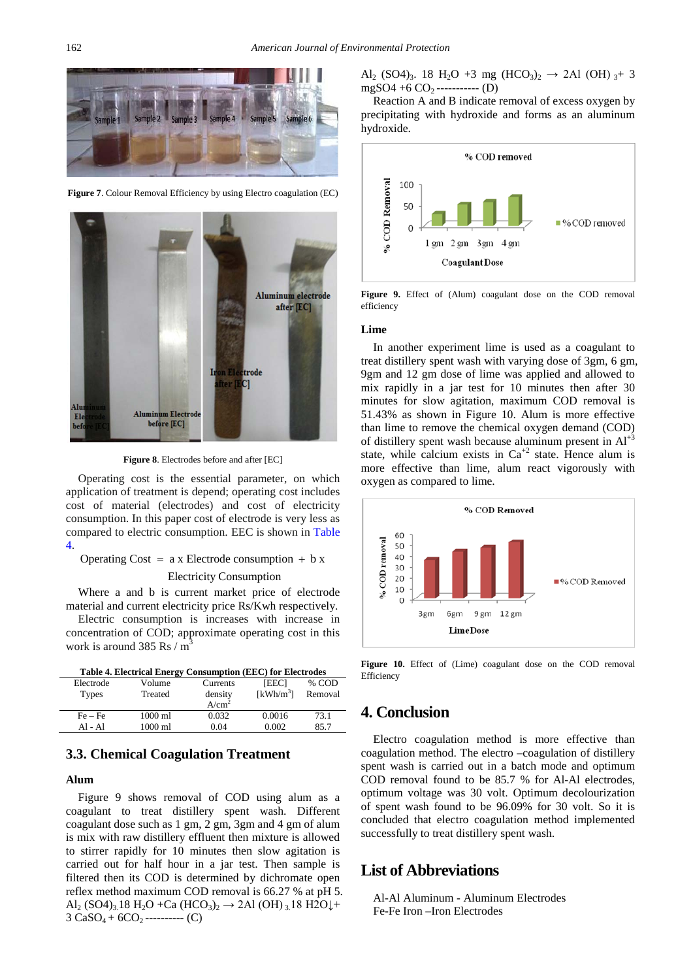

**Figure 7**. Colour Removal Efficiency by using Electro coagulation (EC)



**Figure 8**. Electrodes before and after [EC]

Operating cost is the essential parameter, on which application of treatment is depend; operating cost includes cost of material (electrodes) and cost of electricity consumption. In this paper cost of electrode is very less as compared to electric consumption. EEC is shown in [Table](#page-3-0)  [4.](#page-3-0)

```
Operating Cost = a \times Electrode consumption + b \times
```
#### Electricity Consumption

Where a and b is current market price of electrode material and current electricity price Rs/Kwh respectively.

Electric consumption is increases with increase in concentration of COD; approximate operating cost in this work is around 385 Rs /  $m<sup>3</sup>$ 

<span id="page-3-0"></span>

| <b>Table 4. Electrical Energy Consumption (EEC) for Electrodes</b> |         |                   |                       |         |  |  |
|--------------------------------------------------------------------|---------|-------------------|-----------------------|---------|--|--|
| Electrode                                                          | Volume  | Currents          | <b>IEEC1</b>          | % COD   |  |  |
| <b>Types</b>                                                       | Treated | density           | [kWh/m <sup>3</sup> ] | Removal |  |  |
|                                                                    |         | A/cm <sup>2</sup> |                       |         |  |  |
| $Fe - Fe$                                                          | 1000 ml | 0.032             | 0.0016                | 73.1    |  |  |
| $AI - AI$                                                          | 1000 ml | 0.04              | 0.002                 | 85.7    |  |  |

#### **3.3. Chemical Coagulation Treatment**

#### **Alum**

Figure 9 shows removal of COD using alum as a coagulant to treat distillery spent wash. Different coagulant dose such as 1 gm, 2 gm, 3gm and 4 gm of alum is mix with raw distillery effluent then mixture is allowed to stirrer rapidly for 10 minutes then slow agitation is carried out for half hour in a jar test. Then sample is filtered then its COD is determined by dichromate open reflex method maximum COD removal is 66.27 % at pH 5. Al<sub>2</sub> (SO4)<sub>3</sub>.18 H<sub>2</sub>O +Ca (HCO<sub>3</sub>)<sub>2</sub>  $\rightarrow$  2Al (OH)<sub>3</sub>.18 H2O<sup> $\downarrow$ </sup>+  $3 CaSO_4 + 6CO_2$ ---------- (C)

Al<sub>2</sub> (SO4)<sub>3</sub>. 18 H<sub>2</sub>O +3 mg (HCO<sub>3</sub>)<sub>2</sub>  $\rightarrow$  2Al (OH) <sub>3</sub>+ 3  $mgSO4 + 6 CO_2$ ------------ (D)

Reaction A and B indicate removal of excess oxygen by precipitating with hydroxide and forms as an aluminum hydroxide.



Figure 9. Effect of (Alum) coagulant dose on the COD removal efficiency

#### **Lime**

In another experiment lime is used as a coagulant to treat distillery spent wash with varying dose of 3gm, 6 gm, 9gm and 12 gm dose of lime was applied and allowed to mix rapidly in a jar test for 10 minutes then after 30 minutes for slow agitation, maximum COD removal is 51.43% as shown in Figure 10. Alum is more effective than lime to remove the chemical oxygen demand (COD) of distillery spent wash because aluminum present in  $Al<sup>+3</sup>$ state, while calcium exists in  $Ca^{+2}$  state. Hence alum is more effective than lime, alum react vigorously with oxygen as compared to lime.



**Figure 10.** Effect of (Lime) coagulant dose on the COD removal Efficiency

### **4. Conclusion**

Electro coagulation method is more effective than coagulation method. The electro –coagulation of distillery spent wash is carried out in a batch mode and optimum COD removal found to be 85.7 % for Al-Al electrodes, optimum voltage was 30 volt. Optimum decolourization of spent wash found to be 96.09% for 30 volt. So it is concluded that electro coagulation method implemented successfully to treat distillery spent wash.

### **List of Abbreviations**

Al-Al Aluminum - Aluminum Electrodes Fe-Fe Iron –Iron Electrodes